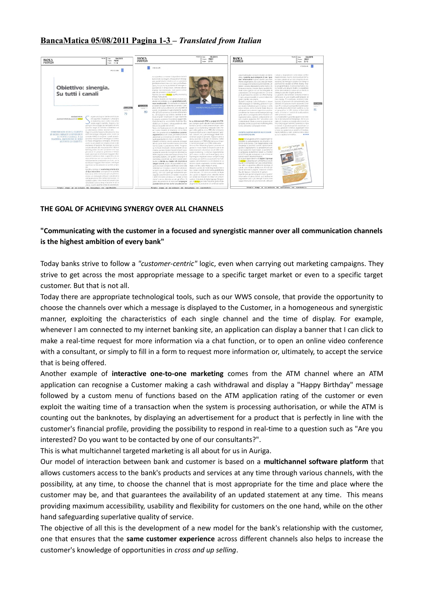## **BancaMatica 05/08/2011 Pagina 1-3 –** *Translated from Italian*



## **THE GOAL OF ACHIEVING SYNERGY OVER ALL CHANNELS**

## **"Communicating with the customer in a focused and synergistic manner over all communication channels is the highest ambition of every bank"**

Today banks strive to follow a *"customer-centric"* logic, even when carrying out marketing campaigns. They strive to get across the most appropriate message to a specific target market or even to a specific target customer. But that is not all.

Today there are appropriate technological tools, such as our WWS console, that provide the opportunity to choose the channels over which a message is displayed to the Customer, in a homogeneous and synergistic manner, exploiting the characteristics of each single channel and the time of display. For example, whenever I am connected to my internet banking site, an application can display a banner that I can click to make a real-time request for more information via a chat function, or to open an online video conference with a consultant, or simply to fill in a form to request more information or, ultimately, to accept the service that is being offered.

Another example of **interactive one-to-one marketing** comes from the ATM channel where an ATM application can recognise a Customer making a cash withdrawal and display a "Happy Birthday" message followed by a custom menu of functions based on the ATM application rating of the customer or even exploit the waiting time of a transaction when the system is processing authorisation, or while the ATM is counting out the banknotes, by displaying an advertisement for a product that is perfectly in line with the customer's financial profile, providing the possibility to respond in real-time to a question such as "Are you interested? Do you want to be contacted by one of our consultants?".

This is what multichannel targeted marketing is all about for us in Auriga.

Our model of interaction between bank and customer is based on a **multichannel software platform** that allows customers access to the bank's products and services at any time through various channels, with the possibility, at any time, to choose the channel that is most appropriate for the time and place where the customer may be, and that guarantees the availability of an updated statement at any time. This means providing maximum accessibility, usability and flexibility for customers on the one hand, while on the other hand safeguarding superlative quality of service.

The objective of all this is the development of a new model for the bank's relationship with the customer, one that ensures that the **same customer experience** across different channels also helps to increase the customer's knowledge of opportunities in *cross and up selling*.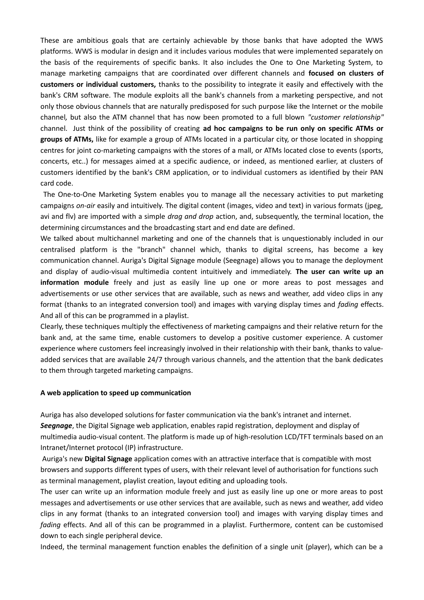These are ambitious goals that are certainly achievable by those banks that have adopted the WWS platforms. WWS is modular in design and it includes various modules that were implemented separately on the basis of the requirements of specific banks. It also includes the One to One Marketing System, to manage marketing campaigns that are coordinated over different channels and **focused on clusters of customers or individual customers,** thanks to the possibility to integrate it easily and effectively with the bank's CRM software. The module exploits all the bank's channels from a marketing perspective, and not only those obvious channels that are naturally predisposed for such purpose like the Internet or the mobile channel*,* but also the ATM channel that has now been promoted to a full blown *"customer relationship"* channel. Just think of the possibility of creating **ad hoc campaigns to be run only on specific ATMs or groups of ATMs,** like for example a group of ATMs located in a particular city, or those located in shopping centres for joint co-marketing campaigns with the stores of a mall, or ATMs located close to events (sports, concerts, etc..) for messages aimed at a specific audience, or indeed, as mentioned earlier, at clusters of customers identified by the bank's CRM application, or to individual customers as identified by their PAN card code.

 The One-to-One Marketing System enables you to manage all the necessary activities to put marketing campaigns *on-air* easily and intuitively. The digital content (images, video and text) in various formats (jpeg, avi and flv) are imported with a simple *drag and drop* action, and, subsequently, the terminal location, the determining circumstances and the broadcasting start and end date are defined.

We talked about multichannel marketing and one of the channels that is unquestionably included in our centralised platform is the "branch" channel which, thanks to digital screens, has become a key communication channel. Auriga's Digital Signage module (Seegnage) allows you to manage the deployment and display of audio-visual multimedia content intuitively and immediately. **The user can write up an information module** freely and just as easily line up one or more areas to post messages and advertisements or use other services that are available, such as news and weather, add video clips in any format (thanks to an integrated conversion tool) and images with varying display times and *fading* effects. And all of this can be programmed in a playlist.

Clearly, these techniques multiply the effectiveness of marketing campaigns and their relative return for the bank and, at the same time, enable customers to develop a positive customer experience. A customer experience where customers feel increasingly involved in their relationship with their bank, thanks to valueadded services that are available 24/7 through various channels, and the attention that the bank dedicates to them through targeted marketing campaigns.

## **A web application to speed up communication**

Auriga has also developed solutions for faster communication via the bank's intranet and internet. *Seegnage*, the Digital Signage web application, enables rapid registration, deployment and display of multimedia audio-visual content. The platform is made up of high-resolution LCD/TFT terminals based on an Intranet/Internet protocol (IP) infrastructure.

 Auriga's new **Digital Signage** application comes with an attractive interface that is compatible with most browsers and supports different types of users, with their relevant level of authorisation for functions such as terminal management, playlist creation, layout editing and uploading tools.

The user can write up an information module freely and just as easily line up one or more areas to post messages and advertisements or use other services that are available, such as news and weather, add video clips in any format (thanks to an integrated conversion tool) and images with varying display times and *fading* effects. And all of this can be programmed in a playlist. Furthermore, content can be customised down to each single peripheral device.

Indeed, the terminal management function enables the definition of a single unit (player), which can be a